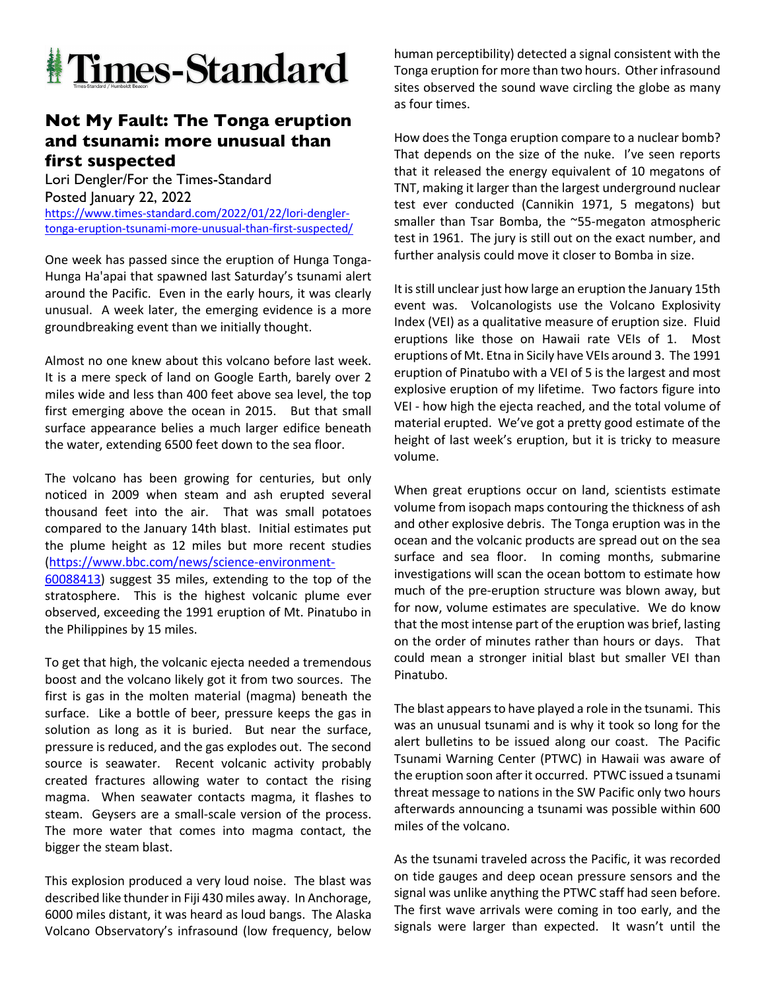

## **Not My Fault: The Tonga eruption and tsunami: more unusual than first suspected**

Lori Dengler/For the Times-Standard Posted January 22, 2022 https://www.times-standard.com/2022/01/22/lori-denglertonga-eruption-tsunami-more-unusual-than-first-suspected/

One week has passed since the eruption of Hunga Tonga-Hunga Ha'apai that spawned last Saturday's tsunami alert around the Pacific. Even in the early hours, it was clearly unusual. A week later, the emerging evidence is a more groundbreaking event than we initially thought.

Almost no one knew about this volcano before last week. It is a mere speck of land on Google Earth, barely over 2 miles wide and less than 400 feet above sea level, the top first emerging above the ocean in 2015. But that small surface appearance belies a much larger edifice beneath the water, extending 6500 feet down to the sea floor.

The volcano has been growing for centuries, but only noticed in 2009 when steam and ash erupted several thousand feet into the air. That was small potatoes compared to the January 14th blast. Initial estimates put the plume height as 12 miles but more recent studies (https://www.bbc.com/news/science-environment-60088413) suggest 35 miles, extending to the top of the stratosphere. This is the highest volcanic plume ever observed, exceeding the 1991 eruption of Mt. Pinatubo in the Philippines by 15 miles.

To get that high, the volcanic ejecta needed a tremendous boost and the volcano likely got it from two sources. The first is gas in the molten material (magma) beneath the surface. Like a bottle of beer, pressure keeps the gas in solution as long as it is buried. But near the surface, pressure is reduced, and the gas explodes out. The second source is seawater. Recent volcanic activity probably created fractures allowing water to contact the rising magma. When seawater contacts magma, it flashes to steam. Geysers are a small-scale version of the process. The more water that comes into magma contact, the bigger the steam blast.

This explosion produced a very loud noise. The blast was described like thunder in Fiji 430 miles away. In Anchorage, 6000 miles distant, it was heard as loud bangs. The Alaska Volcano Observatory's infrasound (low frequency, below human perceptibility) detected a signal consistent with the Tonga eruption for more than two hours. Other infrasound sites observed the sound wave circling the globe as many as four times.

How does the Tonga eruption compare to a nuclear bomb? That depends on the size of the nuke. I've seen reports that it released the energy equivalent of 10 megatons of TNT, making it larger than the largest underground nuclear test ever conducted (Cannikin 1971, 5 megatons) but smaller than Tsar Bomba, the ~55-megaton atmospheric test in 1961. The jury is still out on the exact number, and further analysis could move it closer to Bomba in size.

It is still unclear just how large an eruption the January 15th event was. Volcanologists use the Volcano Explosivity Index (VEI) as a qualitative measure of eruption size. Fluid eruptions like those on Hawaii rate VEIs of 1. Most eruptions of Mt. Etna in Sicily have VEIs around 3. The 1991 eruption of Pinatubo with a VEI of 5 is the largest and most explosive eruption of my lifetime. Two factors figure into VEI - how high the ejecta reached, and the total volume of material erupted. We've got a pretty good estimate of the height of last week's eruption, but it is tricky to measure volume.

When great eruptions occur on land, scientists estimate volume from isopach maps contouring the thickness of ash and other explosive debris. The Tonga eruption was in the ocean and the volcanic products are spread out on the sea surface and sea floor. In coming months, submarine investigations will scan the ocean bottom to estimate how much of the pre-eruption structure was blown away, but for now, volume estimates are speculative. We do know that the most intense part of the eruption was brief, lasting on the order of minutes rather than hours or days. That could mean a stronger initial blast but smaller VEI than Pinatubo.

The blast appears to have played a role in the tsunami. This was an unusual tsunami and is why it took so long for the alert bulletins to be issued along our coast. The Pacific Tsunami Warning Center (PTWC) in Hawaii was aware of the eruption soon after it occurred. PTWC issued a tsunami threat message to nations in the SW Pacific only two hours afterwards announcing a tsunami was possible within 600 miles of the volcano.

As the tsunami traveled across the Pacific, it was recorded on tide gauges and deep ocean pressure sensors and the signal was unlike anything the PTWC staff had seen before. The first wave arrivals were coming in too early, and the signals were larger than expected. It wasn't until the